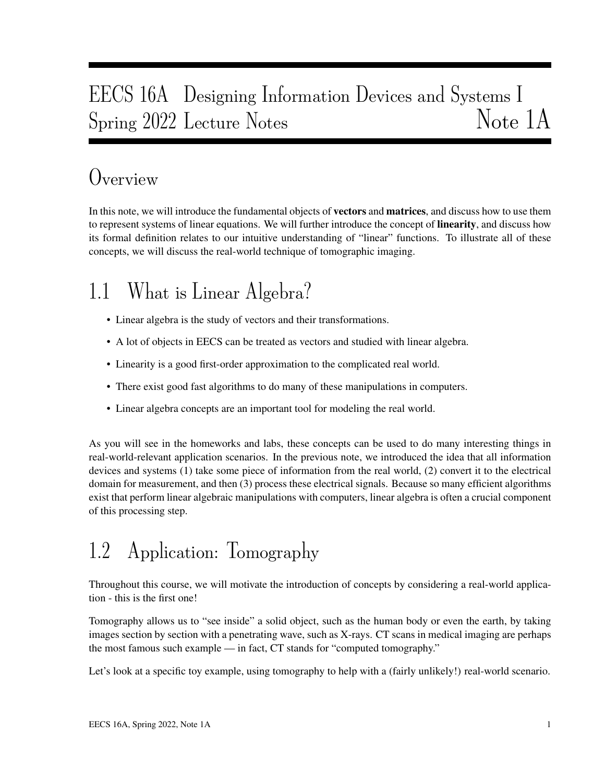# EECS 16A Designing Information Devices and Systems I Spring 2022 Lecture Notes Note 1A

## Overview

In this note, we will introduce the fundamental objects of **vectors** and **matrices**, and discuss how to use them to represent systems of linear equations. We will further introduce the concept of **linearity**, and discuss how its formal definition relates to our intuitive understanding of "linear" functions. To illustrate all of these concepts, we will discuss the real-world technique of tomographic imaging.

# 1.1 What is Linear Algebra?

- Linear algebra is the study of vectors and their transformations.
- A lot of objects in EECS can be treated as vectors and studied with linear algebra.
- Linearity is a good first-order approximation to the complicated real world.
- There exist good fast algorithms to do many of these manipulations in computers.
- Linear algebra concepts are an important tool for modeling the real world.

As you will see in the homeworks and labs, these concepts can be used to do many interesting things in real-world-relevant application scenarios. In the previous note, we introduced the idea that all information devices and systems (1) take some piece of information from the real world, (2) convert it to the electrical domain for measurement, and then (3) process these electrical signals. Because so many efficient algorithms exist that perform linear algebraic manipulations with computers, linear algebra is often a crucial component of this processing step.

## 1.2 Application: Tomography

Throughout this course, we will motivate the introduction of concepts by considering a real-world application - this is the first one!

Tomography allows us to "see inside" a solid object, such as the human body or even the earth, by taking images section by section with a penetrating wave, such as X-rays. CT scans in medical imaging are perhaps the most famous such example — in fact, CT stands for "computed tomography."

Let's look at a specific toy example, using tomography to help with a (fairly unlikely!) real-world scenario.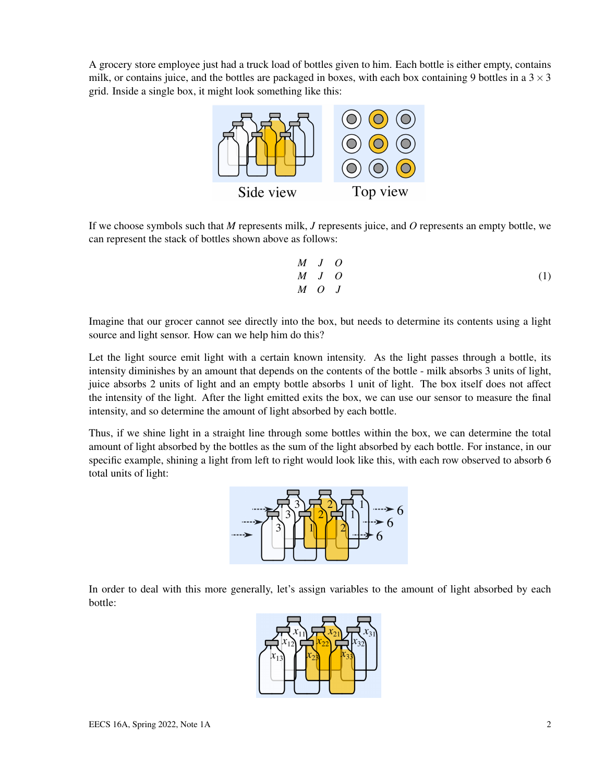A grocery store employee just had a truck load of bottles given to him. Each bottle is either empty, contains milk, or contains juice, and the bottles are packaged in boxes, with each box containing 9 bottles in a  $3 \times 3$ grid. Inside a single box, it might look something like this:



If we choose symbols such that *M* represents milk, *J* represents juice, and *O* represents an empty bottle, we can represent the stack of bottles shown above as follows:

$$
\begin{array}{ccc}\nM & J & O \\
M & J & O \\
M & O & J\n\end{array} \tag{1}
$$

Imagine that our grocer cannot see directly into the box, but needs to determine its contents using a light source and light sensor. How can we help him do this?

Let the light source emit light with a certain known intensity. As the light passes through a bottle, its intensity diminishes by an amount that depends on the contents of the bottle - milk absorbs 3 units of light, juice absorbs 2 units of light and an empty bottle absorbs 1 unit of light. The box itself does not affect the intensity of the light. After the light emitted exits the box, we can use our sensor to measure the final intensity, and so determine the amount of light absorbed by each bottle.

Thus, if we shine light in a straight line through some bottles within the box, we can determine the total amount of light absorbed by the bottles as the sum of the light absorbed by each bottle. For instance, in our specific example, shining a light from left to right would look like this, with each row observed to absorb 6 total units of light:



In order to deal with this more generally, let's assign variables to the amount of light absorbed by each bottle:

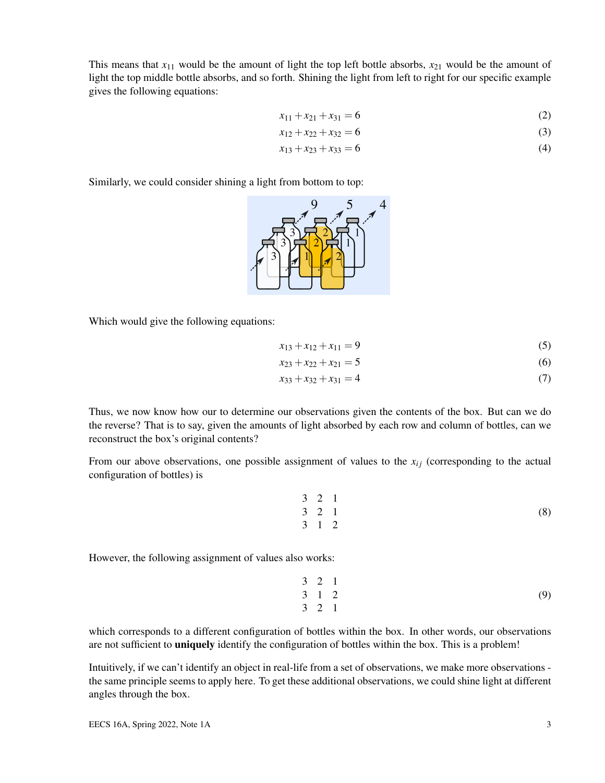This means that  $x_{11}$  would be the amount of light the top left bottle absorbs,  $x_{21}$  would be the amount of light the top middle bottle absorbs, and so forth. Shining the light from left to right for our specific example gives the following equations:

$$
x_{11} + x_{21} + x_{31} = 6 \tag{2}
$$

$$
x_{12} + x_{22} + x_{32} = 6 \tag{3}
$$

$$
x_{13} + x_{23} + x_{33} = 6 \tag{4}
$$

Similarly, we could consider shining a light from bottom to top:



Which would give the following equations:

$$
x_{13} + x_{12} + x_{11} = 9 \tag{5}
$$

$$
x_{23} + x_{22} + x_{21} = 5 \tag{6}
$$

$$
x_{33} + x_{32} + x_{31} = 4 \tag{7}
$$

Thus, we now know how our to determine our observations given the contents of the box. But can we do the reverse? That is to say, given the amounts of light absorbed by each row and column of bottles, can we reconstruct the box's original contents?

From our above observations, one possible assignment of values to the  $x_{ij}$  (corresponding to the actual configuration of bottles) is

$$
\begin{array}{cccccc}\n3 & 2 & 1 \\
3 & 2 & 1 \\
3 & 1 & 2\n\end{array}
$$
\n(8)

However, the following assignment of values also works:

$$
\begin{array}{cccccc}\n3 & 2 & 1 \\
3 & 1 & 2 \\
3 & 2 & 1\n\end{array} (9)
$$

which corresponds to a different configuration of bottles within the box. In other words, our observations are not sufficient to **uniquely** identify the configuration of bottles within the box. This is a problem!

Intuitively, if we can't identify an object in real-life from a set of observations, we make more observations the same principle seems to apply here. To get these additional observations, we could shine light at different angles through the box.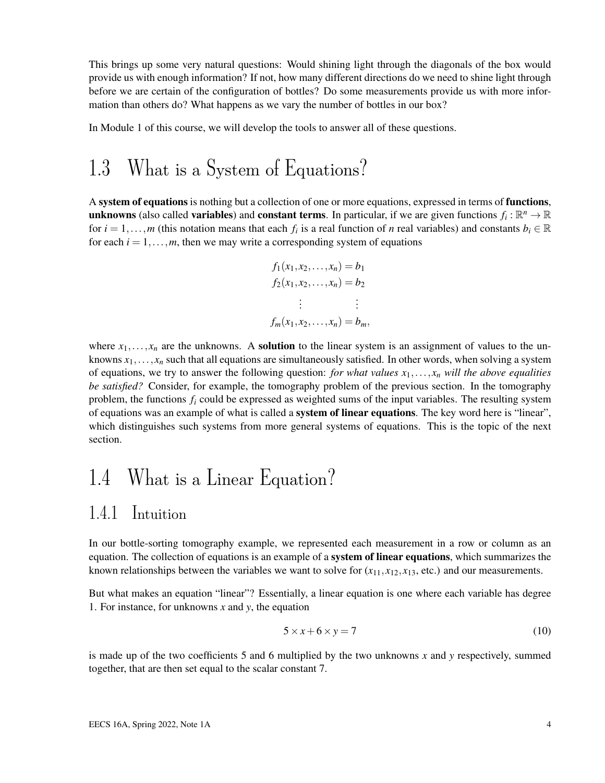This brings up some very natural questions: Would shining light through the diagonals of the box would provide us with enough information? If not, how many different directions do we need to shine light through before we are certain of the configuration of bottles? Do some measurements provide us with more information than others do? What happens as we vary the number of bottles in our box?

In Module 1 of this course, we will develop the tools to answer all of these questions.

### 1.3 What is a System of Equations?

A system of equations is nothing but a collection of one or more equations, expressed in terms of functions, unknowns (also called variables) and constant terms. In particular, if we are given functions  $f_i : \mathbb{R}^n \to \mathbb{R}$ for  $i = 1, \ldots, m$  (this notation means that each  $f_i$  is a real function of *n* real variables) and constants  $b_i \in \mathbb{R}$ for each  $i = 1, \ldots, m$ , then we may write a corresponding system of equations

$$
f_1(x_1, x_2, \dots, x_n) = b_1
$$
  
\n
$$
f_2(x_1, x_2, \dots, x_n) = b_2
$$
  
\n
$$
\vdots \qquad \vdots
$$
  
\n
$$
f_m(x_1, x_2, \dots, x_n) = b_m,
$$

where  $x_1, \ldots, x_n$  are the unknowns. A **solution** to the linear system is an assignment of values to the unknowns  $x_1, \ldots, x_n$  such that all equations are simultaneously satisfied. In other words, when solving a system of equations, we try to answer the following question: *for what values x*1,..., *x<sup>n</sup> will the above equalities be satisfied?* Consider, for example, the tomography problem of the previous section. In the tomography problem, the functions  $f_i$  could be expressed as weighted sums of the input variables. The resulting system of equations was an example of what is called a **system of linear equations**. The key word here is "linear", which distinguishes such systems from more general systems of equations. This is the topic of the next section.

## 1.4 What is a Linear Equation?

### 1.4.1 Intuition

In our bottle-sorting tomography example, we represented each measurement in a row or column as an equation. The collection of equations is an example of a **system of linear equations**, which summarizes the known relationships between the variables we want to solve for  $(x_{11}, x_{12}, x_{13},$  etc.) and our measurements.

But what makes an equation "linear"? Essentially, a linear equation is one where each variable has degree 1. For instance, for unknowns *x* and *y*, the equation

$$
5 \times x + 6 \times y = 7 \tag{10}
$$

is made up of the two coefficients 5 and 6 multiplied by the two unknowns *x* and *y* respectively, summed together, that are then set equal to the scalar constant 7.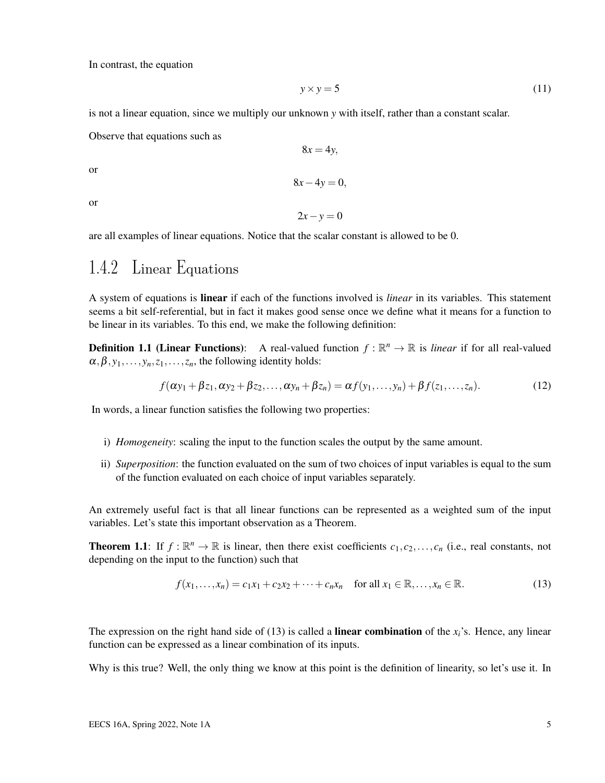In contrast, the equation

$$
y \times y = 5 \tag{11}
$$

is not a linear equation, since we multiply our unknown *y* with itself, rather than a constant scalar.

Observe that equations such as

or

8*x*−4*y* = 0,

 $8x = 4y$ ,

or

$$
2x - y = 0
$$

are all examples of linear equations. Notice that the scalar constant is allowed to be 0.

### 1.4.2 Linear Equations

A system of equations is linear if each of the functions involved is *linear* in its variables. This statement seems a bit self-referential, but in fact it makes good sense once we define what it means for a function to be linear in its variables. To this end, we make the following definition:

**Definition 1.1 (Linear Functions):** A real-valued function  $f : \mathbb{R}^n \to \mathbb{R}$  is *linear* if for all real-valued  $\alpha, \beta, y_1, \ldots, y_n, z_1, \ldots, z_n$ , the following identity holds:

$$
f(\alpha y_1 + \beta z_1, \alpha y_2 + \beta z_2, \dots, \alpha y_n + \beta z_n) = \alpha f(y_1, \dots, y_n) + \beta f(z_1, \dots, z_n).
$$
 (12)

In words, a linear function satisfies the following two properties:

- i) *Homogeneity*: scaling the input to the function scales the output by the same amount.
- ii) *Superposition*: the function evaluated on the sum of two choices of input variables is equal to the sum of the function evaluated on each choice of input variables separately.

An extremely useful fact is that all linear functions can be represented as a weighted sum of the input variables. Let's state this important observation as a Theorem.

**Theorem 1.1:** If  $f : \mathbb{R}^n \to \mathbb{R}$  is linear, then there exist coefficients  $c_1, c_2, \ldots, c_n$  (i.e., real constants, not depending on the input to the function) such that

$$
f(x_1,\ldots,x_n)=c_1x_1+c_2x_2+\cdots+c_nx_n \quad \text{for all } x_1\in\mathbb{R},\ldots,x_n\in\mathbb{R}.
$$
 (13)

The expression on the right hand side of (13) is called a **linear combination** of the  $x_i$ 's. Hence, any linear function can be expressed as a linear combination of its inputs.

Why is this true? Well, the only thing we know at this point is the definition of linearity, so let's use it. In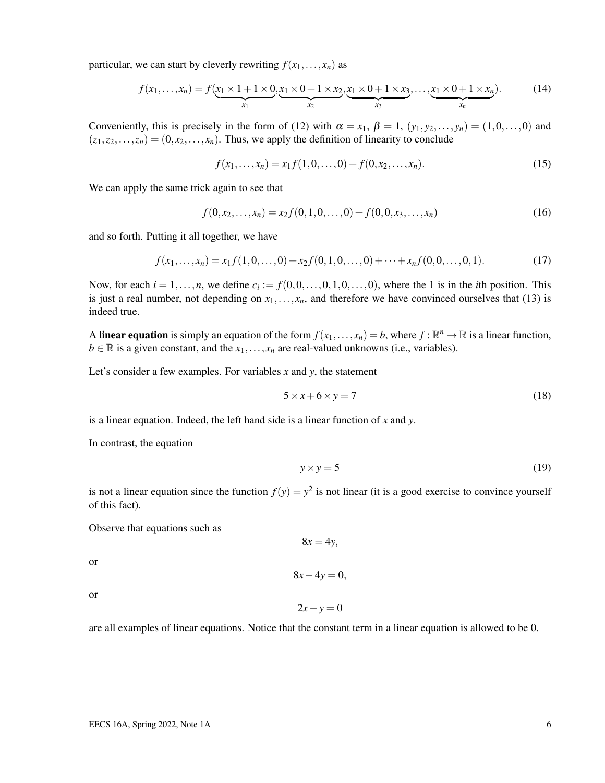particular, we can start by cleverly rewriting  $f(x_1,...,x_n)$  as

$$
f(x_1,...,x_n) = f(x_1 \times 1 + 1 \times 0, x_1 \times 0 + 1 \times x_2, x_1 \times 0 + 1 \times x_3, ..., x_1 \times 0 + 1 \times x_n).
$$
 (14)

Conveniently, this is precisely in the form of (12) with  $\alpha = x_1$ ,  $\beta = 1$ ,  $(y_1, y_2,..., y_n) = (1, 0,..., 0)$  and  $(z_1, z_2,..., z_n) = (0, x_2,..., x_n)$ . Thus, we apply the definition of linearity to conclude

$$
f(x_1,...,x_n) = x_1 f(1,0,...,0) + f(0,x_2,...,x_n).
$$
 (15)

We can apply the same trick again to see that

$$
f(0, x_2,..., x_n) = x_2 f(0, 1, 0,..., 0) + f(0, 0, x_3,..., x_n)
$$
 (16)

and so forth. Putting it all together, we have

$$
f(x_1,...,x_n) = x_1 f(1,0,...,0) + x_2 f(0,1,0,...,0) + \dots + x_n f(0,0,...,0,1).
$$
 (17)

Now, for each  $i = 1, \ldots, n$ , we define  $c_i := f(0, 0, \ldots, 0, 1, 0, \ldots, 0)$ , where the 1 is in the *i*th position. This is just a real number, not depending on  $x_1, \ldots, x_n$ , and therefore we have convinced ourselves that (13) is indeed true.

A linear equation is simply an equation of the form  $f(x_1,...,x_n) = b$ , where  $f : \mathbb{R}^n \to \mathbb{R}$  is a linear function,  $b \in \mathbb{R}$  is a given constant, and the  $x_1, \ldots, x_n$  are real-valued unknowns (i.e., variables).

Let's consider a few examples. For variables *x* and *y*, the statement

$$
5 \times x + 6 \times y = 7 \tag{18}
$$

is a linear equation. Indeed, the left hand side is a linear function of *x* and *y*.

In contrast, the equation

$$
y \times y = 5 \tag{19}
$$

is not a linear equation since the function  $f(y) = y^2$  is not linear (it is a good exercise to convince yourself of this fact).

 $8x = 4y$ ,

8*x*−4*y* = 0,

 $2x - y = 0$ 

Observe that equations such as

or

or

are all examples of linear equations. Notice that the constant term in a linear equation is allowed to be 0.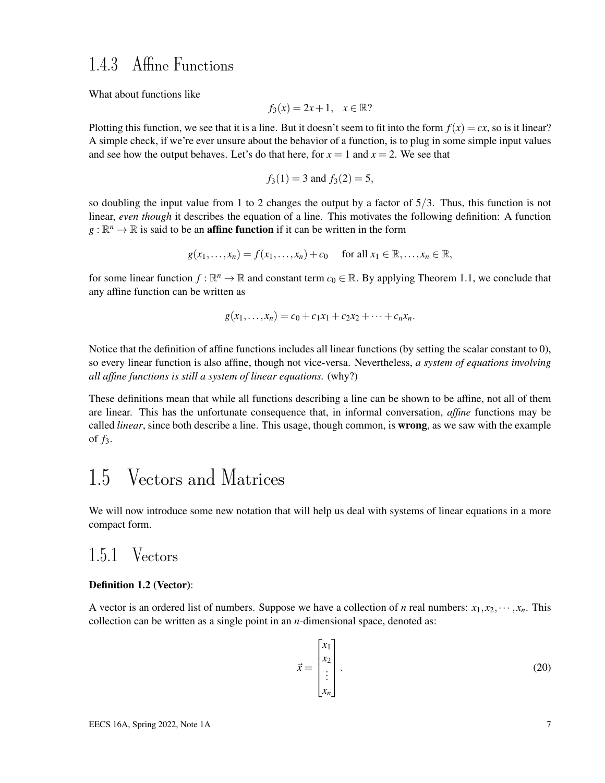### 1.4.3 Affine Functions

What about functions like

$$
f_3(x) = 2x + 1, \quad x \in \mathbb{R}
$$
?

Plotting this function, we see that it is a line. But it doesn't seem to fit into the form  $f(x) = cx$ , so is it linear? A simple check, if we're ever unsure about the behavior of a function, is to plug in some simple input values and see how the output behaves. Let's do that here, for  $x = 1$  and  $x = 2$ . We see that

$$
f_3(1) = 3
$$
 and  $f_3(2) = 5$ ,

so doubling the input value from 1 to 2 changes the output by a factor of  $5/3$ . Thus, this function is not linear, *even though* it describes the equation of a line. This motivates the following definition: A function  $g : \mathbb{R}^n \to \mathbb{R}$  is said to be an **affine function** if it can be written in the form

$$
g(x_1,\ldots,x_n)=f(x_1,\ldots,x_n)+c_0 \quad \text{ for all } x_1\in\mathbb{R},\ldots,x_n\in\mathbb{R},
$$

for some linear function  $f : \mathbb{R}^n \to \mathbb{R}$  and constant term  $c_0 \in \mathbb{R}$ . By applying Theorem 1.1, we conclude that any affine function can be written as

$$
g(x_1,...,x_n) = c_0 + c_1x_1 + c_2x_2 + \cdots + c_nx_n.
$$

Notice that the definition of affine functions includes all linear functions (by setting the scalar constant to 0), so every linear function is also affine, though not vice-versa. Nevertheless, *a system of equations involving all affine functions is still a system of linear equations.* (why?)

These definitions mean that while all functions describing a line can be shown to be affine, not all of them are linear. This has the unfortunate consequence that, in informal conversation, *affine* functions may be called *linear*, since both describe a line. This usage, though common, is wrong, as we saw with the example of *f*3.

### 1.5 Vectors and Matrices

We will now introduce some new notation that will help us deal with systems of linear equations in a more compact form.

#### 1.5.1 Vectors

#### Definition 1.2 (Vector):

A vector is an ordered list of numbers. Suppose we have a collection of *n* real numbers:  $x_1, x_2, \dots, x_n$ . This collection can be written as a single point in an *n*-dimensional space, denoted as:

$$
\vec{x} = \begin{bmatrix} x_1 \\ x_2 \\ \vdots \\ x_n \end{bmatrix} .
$$
 (20)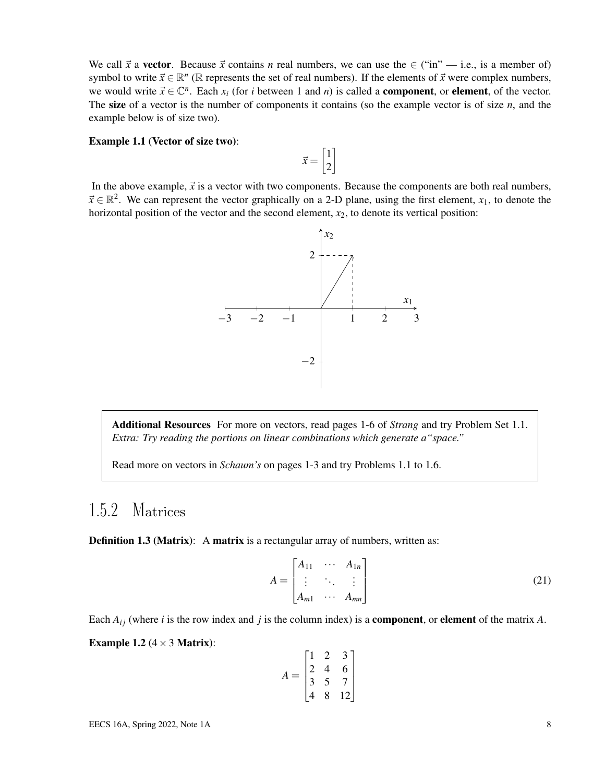We call  $\vec{x}$  a vector. Because  $\vec{x}$  contains *n* real numbers, we can use the  $\in$  ("in" — i.e., is a member of) symbol to write  $\vec{x} \in \mathbb{R}^n$  ( $\mathbb{R}$  represents the set of real numbers). If the elements of  $\vec{x}$  were complex numbers, we would write  $\vec{x} \in \mathbb{C}^n$ . Each  $x_i$  (for *i* between 1 and *n*) is called a **component**, or **element**, of the vector. The size of a vector is the number of components it contains (so the example vector is of size *n*, and the example below is of size two).

#### Example 1.1 (Vector of size two):

In the above example,  $\vec{x}$  is a vector with two components. Because the components are both real numbers,  $\vec{x} \in \mathbb{R}^2$ . We can represent the vector graphically on a 2-D plane, using the first element,  $x_1$ , to denote the horizontal position of the vector and the second element,  $x<sub>2</sub>$ , to denote its vertical position:

 $\vec{x} = \begin{bmatrix} 1 \\ 2 \end{bmatrix}$ 2 1



Additional Resources For more on vectors, read pages 1-6 of *Strang* and try Problem Set 1.1. *Extra: Try reading the portions on linear combinations which generate a"space."*

Read more on vectors in *Schaum's* on pages 1-3 and try Problems 1.1 to 1.6.

### 1.5.2 Matrices

**Definition 1.3 (Matrix):** A matrix is a rectangular array of numbers, written as:

$$
A = \begin{bmatrix} A_{11} & \cdots & A_{1n} \\ \vdots & \ddots & \vdots \\ A_{m1} & \cdots & A_{mn} \end{bmatrix}
$$
 (21)

Each  $A_{ij}$  (where *i* is the row index and *j* is the column index) is a **component**, or **element** of the matrix *A*.

Example 1.2  $(4 \times 3$  Matrix):

$$
A = \begin{bmatrix} 1 & 2 & 3 \\ 2 & 4 & 6 \\ 3 & 5 & 7 \\ 4 & 8 & 12 \end{bmatrix}
$$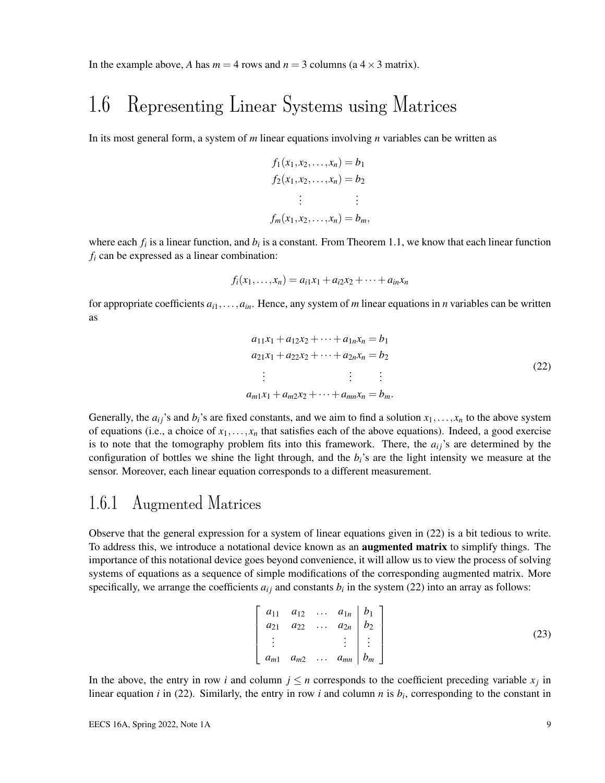In the example above, *A* has  $m = 4$  rows and  $n = 3$  columns (a  $4 \times 3$  matrix).

### 1.6 Representing Linear Systems using Matrices

In its most general form, a system of *m* linear equations involving *n* variables can be written as

$$
f_1(x_1, x_2, ..., x_n) = b_1
$$
  
\n
$$
f_2(x_1, x_2, ..., x_n) = b_2
$$
  
\n
$$
\vdots \qquad \vdots
$$
  
\n
$$
f_m(x_1, x_2, ..., x_n) = b_m
$$

where each  $f_i$  is a linear function, and  $b_i$  is a constant. From Theorem 1.1, we know that each linear function *f<sup>i</sup>* can be expressed as a linear combination:

$$
f_i(x_1,...,x_n) = a_{i1}x_1 + a_{i2}x_2 + \cdots + a_{in}x_n
$$

for appropriate coefficients  $a_{i1},...,a_{in}$ . Hence, any system of *m* linear equations in *n* variables can be written as

$$
a_{11}x_1 + a_{12}x_2 + \dots + a_{1n}x_n = b_1
$$
  
\n
$$
a_{21}x_1 + a_{22}x_2 + \dots + a_{2n}x_n = b_2
$$
  
\n
$$
\vdots \qquad \vdots \qquad \vdots
$$
  
\n
$$
a_{m1}x_1 + a_{m2}x_2 + \dots + a_{mn}x_n = b_m.
$$
\n(22)

Generally, the  $a_{ij}$ 's and  $b_i$ 's are fixed constants, and we aim to find a solution  $x_1, \ldots, x_n$  to the above system of equations (i.e., a choice of  $x_1, \ldots, x_n$  that satisfies each of the above equations). Indeed, a good exercise is to note that the tomography problem fits into this framework. There, the  $a_{ij}$ 's are determined by the configuration of bottles we shine the light through, and the *bi*'s are the light intensity we measure at the sensor. Moreover, each linear equation corresponds to a different measurement.

#### 1.6.1 Augmented Matrices

Observe that the general expression for a system of linear equations given in (22) is a bit tedious to write. To address this, we introduce a notational device known as an **augmented matrix** to simplify things. The importance of this notational device goes beyond convenience, it will allow us to view the process of solving systems of equations as a sequence of simple modifications of the corresponding augmented matrix. More specifically, we arrange the coefficients  $a_{ij}$  and constants  $b_i$  in the system (22) into an array as follows:

$$
\begin{bmatrix} a_{11} & a_{12} & \dots & a_{1n} & b_1 \\ a_{21} & a_{22} & \dots & a_{2n} & b_2 \\ \vdots & & & \vdots & \vdots \\ a_{m1} & a_{m2} & \dots & a_{mn} & b_m \end{bmatrix}
$$
 (23)

In the above, the entry in row *i* and column  $j \leq n$  corresponds to the coefficient preceding variable  $x_j$  in linear equation  $i$  in (22). Similarly, the entry in row  $i$  and column  $n$  is  $b_i$ , corresponding to the constant in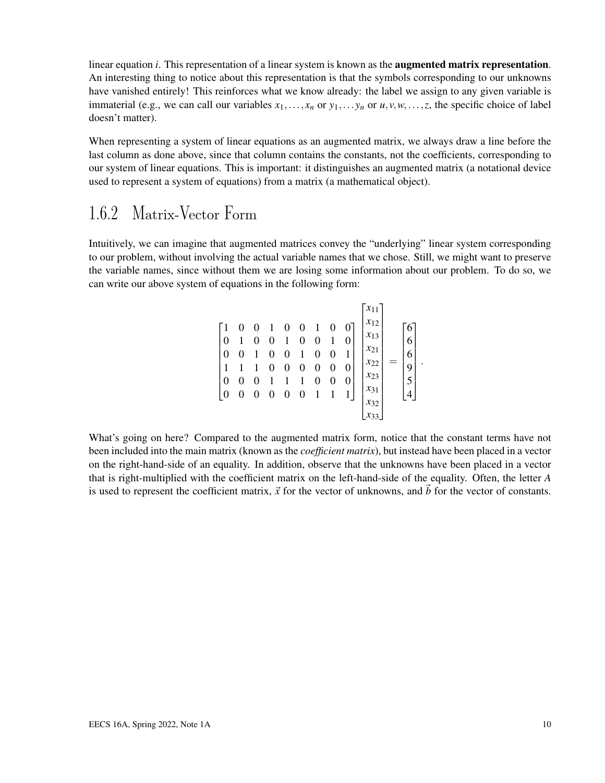linear equation *i*. This representation of a linear system is known as the augmented matrix representation. An interesting thing to notice about this representation is that the symbols corresponding to our unknowns have vanished entirely! This reinforces what we know already: the label we assign to any given variable is immaterial (e.g., we can call our variables  $x_1, \ldots, x_n$  or  $y_1, \ldots, y_n$  or  $u, v, w, \ldots, z$ , the specific choice of label doesn't matter).

When representing a system of linear equations as an augmented matrix, we always draw a line before the last column as done above, since that column contains the constants, not the coefficients, corresponding to our system of linear equations. This is important: it distinguishes an augmented matrix (a notational device used to represent a system of equations) from a matrix (a mathematical object).

### 1.6.2 Matrix-Vector Form

Intuitively, we can imagine that augmented matrices convey the "underlying" linear system corresponding to our problem, without involving the actual variable names that we chose. Still, we might want to preserve the variable names, since without them we are losing some information about our problem. To do so, we can write our above system of equations in the following form:

| $\boldsymbol{0}$ | $\mathbf{1}$ | $0 \quad 1 \quad 0$<br>$\boldsymbol{0}$<br>$\boldsymbol{0}$ | $0 \quad 0 \quad 1$<br>$\overline{\phantom{0}}$<br>$\bf{0}$<br>$\frac{1}{2}$ $\frac{1}{1}$<br>$0\quad 0\quad$ | $\overline{\phantom{0}}$<br>$\boldsymbol{0}$<br>$\overline{1}$<br>$\boldsymbol{0}$<br>$\overline{\mathbf{0}}$ | $\mathbf{1}$<br>$\boldsymbol{0}$<br>$\boldsymbol{0}$<br>$\boldsymbol{0}$<br>$\boldsymbol{0}$ | 0<br>0<br>0 | $x_{11}$<br>$\sqrt{x_{12}}$<br>$x_{13}$<br>$x_{21}$<br>$x_{22}$<br>$x_{23}$<br>$x_{31}$ | 6<br>6<br>9<br>5 |
|------------------|--------------|-------------------------------------------------------------|---------------------------------------------------------------------------------------------------------------|---------------------------------------------------------------------------------------------------------------|----------------------------------------------------------------------------------------------|-------------|-----------------------------------------------------------------------------------------|------------------|
|                  |              |                                                             |                                                                                                               |                                                                                                               |                                                                                              |             | $x_{32}$                                                                                |                  |

.

What's going on here? Compared to the augmented matrix form, notice that the constant terms have not been included into the main matrix (known as the *coefficient matrix*), but instead have been placed in a vector on the right-hand-side of an equality. In addition, observe that the unknowns have been placed in a vector that is right-multiplied with the coefficient matrix on the left-hand-side of the equality. Often, the letter *A* is used to represent the coefficient matrix,  $\vec{x}$  for the vector of unknowns, and  $\vec{b}$  for the vector of constants.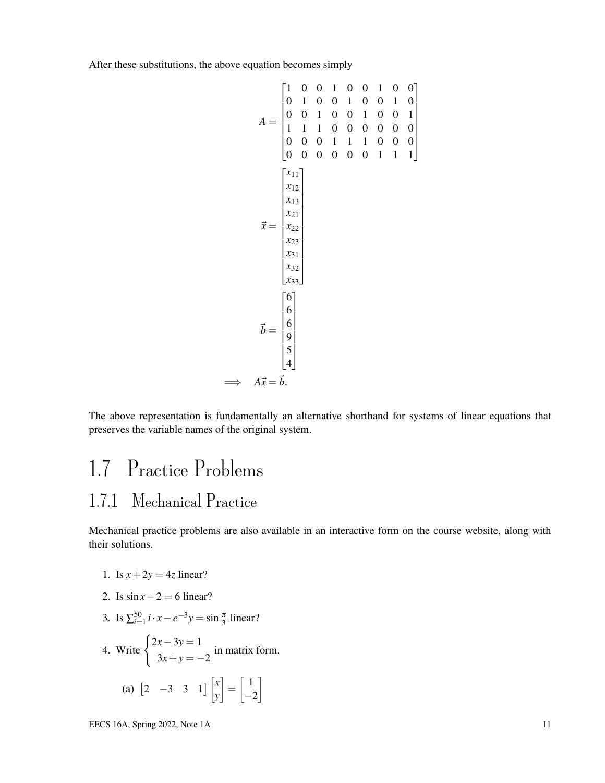After these substitutions, the above equation becomes simply

$$
A = \begin{bmatrix} 1 & 0 & 0 & 1 & 0 & 0 & 1 & 0 & 0 \\ 0 & 1 & 0 & 0 & 1 & 0 & 0 & 1 & 0 \\ 0 & 0 & 1 & 0 & 0 & 1 & 0 & 0 & 1 \\ 1 & 1 & 1 & 0 & 0 & 0 & 0 & 0 & 0 \\ 0 & 0 & 0 & 1 & 1 & 1 & 0 & 0 & 0 \\ 0 & 0 & 0 & 0 & 0 & 0 & 1 & 1 & 1 \end{bmatrix}
$$

$$
\vec{x} = \begin{bmatrix} x_{11} \\ x_{12} \\ x_{13} \\ x_{21} \\ x_{22} \\ x_{33} \\ x_{31} \\ x_{32} \\ x_{33} \end{bmatrix}
$$

$$
\vec{b} = \begin{bmatrix} 6 \\ 6 \\ 6 \\ 9 \\ 4 \end{bmatrix}
$$

$$
\vec{a} \cdot \vec{x} = \vec{b}.
$$

The above representation is fundamentally an alternative shorthand for systems of linear equations that preserves the variable names of the original system.

# 1.7 Practice Problems 1.7.1 Mechanical Practice

Mechanical practice problems are also available in an interactive form on the course website, along with their solutions.

- 1. Is  $x + 2y = 4z$  linear?
- 2. Is  $\sin x 2 = 6$  linear?
- 3. Is  $\sum_{i=1}^{50} i \cdot x e^{-3}y = \sin \frac{\pi}{3}$  linear?

4. Write 
$$
\begin{cases} 2x - 3y = 1 \\ 3x + y = -2 \end{cases}
$$
 in matrix form.  
\n(a)  $\begin{bmatrix} 2 & -3 & 3 & 1 \end{bmatrix} \begin{bmatrix} x \\ y \end{bmatrix} = \begin{bmatrix} 1 \\ -2 \end{bmatrix}$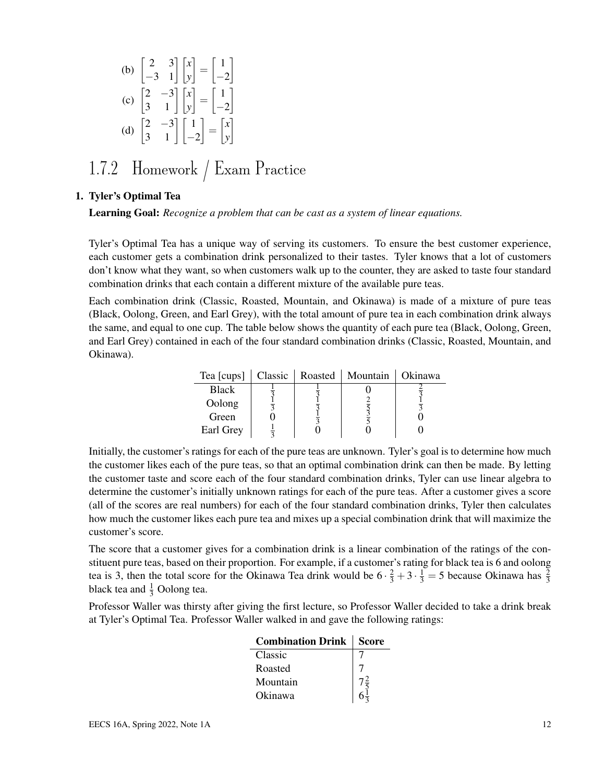(b) 
$$
\begin{bmatrix} 2 & 3 \\ -3 & 1 \end{bmatrix} \begin{bmatrix} x \\ y \end{bmatrix} = \begin{bmatrix} 1 \\ -2 \end{bmatrix}
$$
  
\n(c)  $\begin{bmatrix} 2 & -3 \\ 3 & 1 \end{bmatrix} \begin{bmatrix} x \\ y \end{bmatrix} = \begin{bmatrix} 1 \\ -2 \end{bmatrix}$   
\n(d)  $\begin{bmatrix} 2 & -3 \\ 3 & 1 \end{bmatrix} \begin{bmatrix} 1 \\ -2 \end{bmatrix} = \begin{bmatrix} x \\ y \end{bmatrix}$ 

### 1.7.2 Homework / Exam Practice

#### 1. Tyler's Optimal Tea

Learning Goal: *Recognize a problem that can be cast as a system of linear equations.*

Tyler's Optimal Tea has a unique way of serving its customers. To ensure the best customer experience, each customer gets a combination drink personalized to their tastes. Tyler knows that a lot of customers don't know what they want, so when customers walk up to the counter, they are asked to taste four standard combination drinks that each contain a different mixture of the available pure teas.

Each combination drink (Classic, Roasted, Mountain, and Okinawa) is made of a mixture of pure teas (Black, Oolong, Green, and Earl Grey), with the total amount of pure tea in each combination drink always the same, and equal to one cup. The table below shows the quantity of each pure tea (Black, Oolong, Green, and Earl Grey) contained in each of the four standard combination drinks (Classic, Roasted, Mountain, and Okinawa).

| Tea [cups]   | Classic | Roasted | Mountain | Okinawa |
|--------------|---------|---------|----------|---------|
| <b>Black</b> |         |         |          |         |
| Oolong       |         |         |          |         |
| Green        |         |         |          |         |
| Earl Grey    |         |         |          |         |

Initially, the customer's ratings for each of the pure teas are unknown. Tyler's goal is to determine how much the customer likes each of the pure teas, so that an optimal combination drink can then be made. By letting the customer taste and score each of the four standard combination drinks, Tyler can use linear algebra to determine the customer's initially unknown ratings for each of the pure teas. After a customer gives a score (all of the scores are real numbers) for each of the four standard combination drinks, Tyler then calculates how much the customer likes each pure tea and mixes up a special combination drink that will maximize the customer's score.

The score that a customer gives for a combination drink is a linear combination of the ratings of the constituent pure teas, based on their proportion. For example, if a customer's rating for black tea is 6 and oolong tea is 3, then the total score for the Okinawa Tea drink would be  $6 \cdot \frac{2}{3} + 3 \cdot \frac{1}{3} = 5$  because Okinawa has  $\frac{2}{3}$ black tea and  $\frac{1}{3}$  Oolong tea.

Professor Waller was thirsty after giving the first lecture, so Professor Waller decided to take a drink break at Tyler's Optimal Tea. Professor Waller walked in and gave the following ratings:

| <b>Combination Drink</b> | Score |
|--------------------------|-------|
| Classic                  |       |
| Roasted                  |       |
| Mountain                 |       |
| Okinawa                  |       |